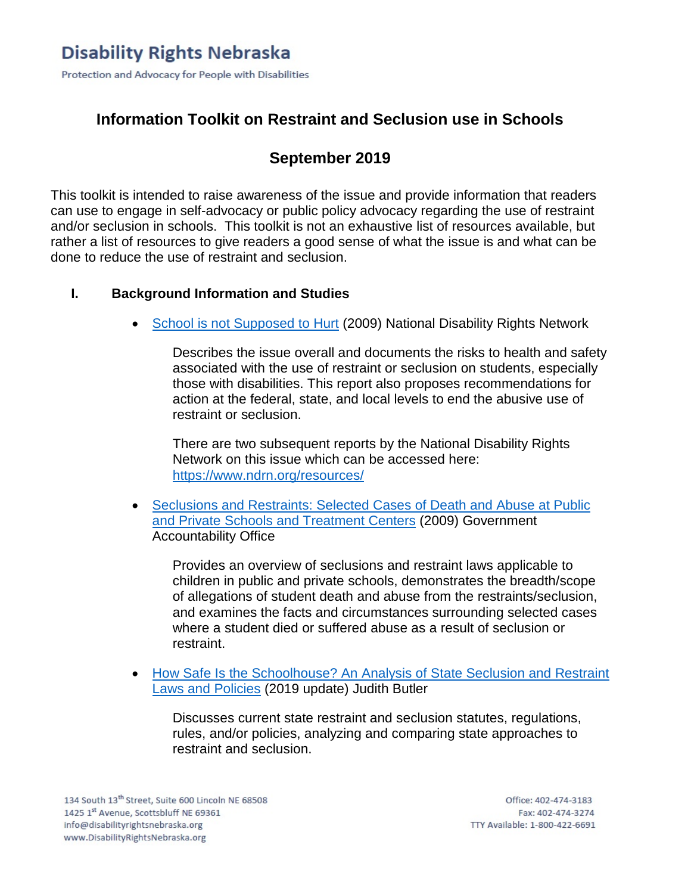# **Information Toolkit on Restraint and Seclusion use in Schools**

# **September 2019**

This toolkit is intended to raise awareness of the issue and provide information that readers can use to engage in self-advocacy or public policy advocacy regarding the use of restraint and/or seclusion in schools. This toolkit is not an exhaustive list of resources available, but rather a list of resources to give readers a good sense of what the issue is and what can be done to reduce the use of restraint and seclusion.

## **I. Background Information and Studies**

• [School is not Supposed to Hurt](https://www.ndrn.org/images/Documents/Resources/Publications/Reports/SR-Report2009.pdf) (2009) National Disability Rights Network

Describes the issue overall and documents the risks to health and safety associated with the use of restraint or seclusion on students, especially those with disabilities. This report also proposes recommendations for action at the federal, state, and local levels to end the abusive use of restraint or seclusion.

There are two subsequent reports by the National Disability Rights Network on this issue which can be accessed here: <https://www.ndrn.org/resources/>

• [Seclusions and Restraints: Selected Cases of Death and Abuse at Public](https://www.gao.gov/new.items/d09719t.pdf)  [and Private Schools and Treatment Centers](https://www.gao.gov/new.items/d09719t.pdf) (2009) Government Accountability Office

Provides an overview of seclusions and restraint laws applicable to children in public and private schools, demonstrates the breadth/scope of allegations of student death and abuse from the restraints/seclusion, and examines the facts and circumstances surrounding selected cases where a student died or suffered abuse as a result of seclusion or restraint.

• [How Safe Is the Schoolhouse? An Analysis of State Seclusion and Restraint](http://www.autcom.org/pdf/HowSafeSchoolhouse.pdf)  [Laws and Policies](http://www.autcom.org/pdf/HowSafeSchoolhouse.pdf) (2019 update) Judith Butler

Discusses current state restraint and seclusion statutes, regulations, rules, and/or policies, analyzing and comparing state approaches to restraint and seclusion.

134 South 13<sup>th</sup> Street, Suite 600 Lincoln NE 68508 1425 1st Avenue, Scottsbluff NE 69361 info@disabilityrightsnebraska.org www.DisabilityRightsNebraska.org